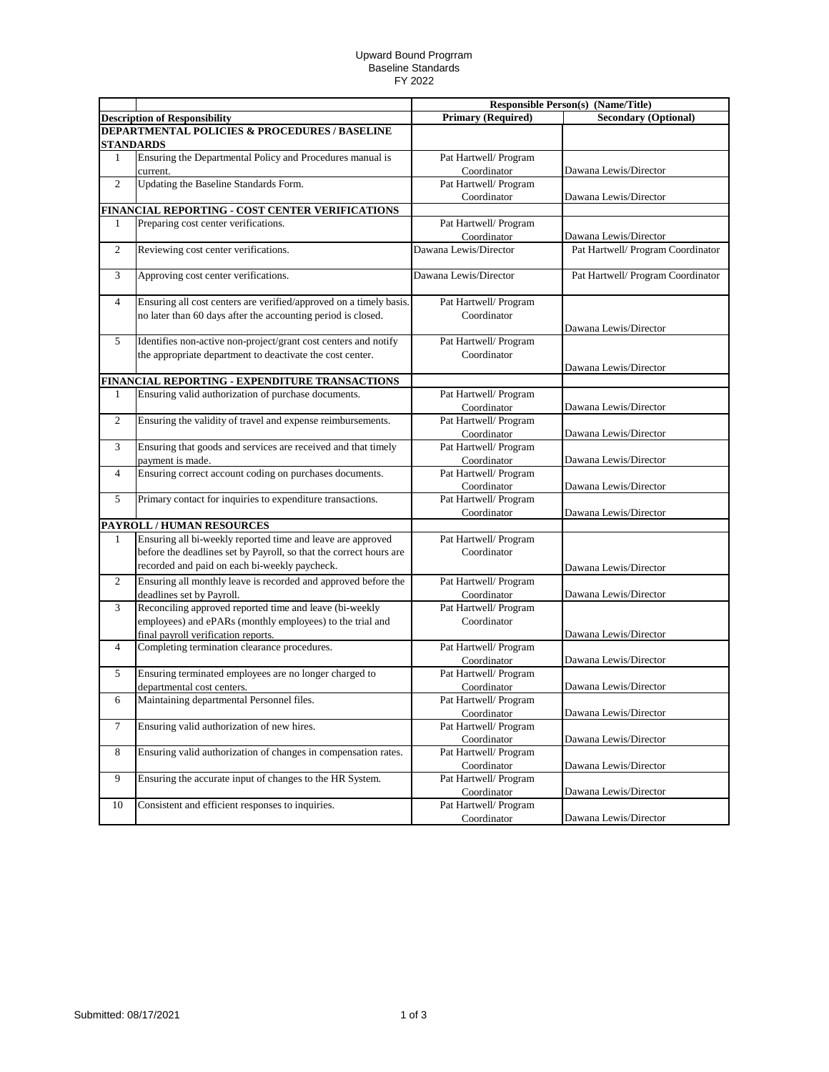## Upward Bound Progrram Baseline Standards FY 2022

|                           |                                                                    |                           | <b>Responsible Person(s) (Name/Title)</b> |
|---------------------------|--------------------------------------------------------------------|---------------------------|-------------------------------------------|
|                           | <b>Description of Responsibility</b>                               | <b>Primary (Required)</b> | <b>Secondary (Optional)</b>               |
|                           | <b>DEPARTMENTAL POLICIES &amp; PROCEDURES / BASELINE</b>           |                           |                                           |
|                           | <b>STANDARDS</b>                                                   |                           |                                           |
| 1                         | Ensuring the Departmental Policy and Procedures manual is          | Pat Hartwell/ Program     |                                           |
|                           | current.                                                           | Coordinator               | Dawana Lewis/Director                     |
| $\overline{2}$            | Updating the Baseline Standards Form.                              | Pat Hartwell/ Program     |                                           |
|                           |                                                                    | Coordinator               | Dawana Lewis/Director                     |
|                           | FINANCIAL REPORTING - COST CENTER VERIFICATIONS                    |                           |                                           |
| 1                         | Preparing cost center verifications.                               | Pat Hartwell/ Program     |                                           |
|                           |                                                                    | Coordinator               | Dawana Lewis/Director                     |
| $\mathbf{2}$              | Reviewing cost center verifications.                               | Dawana Lewis/Director     | Pat Hartwell/ Program Coordinator         |
|                           |                                                                    |                           |                                           |
| 3                         | Approving cost center verifications.                               | Dawana Lewis/Director     | Pat Hartwell/ Program Coordinator         |
|                           |                                                                    |                           |                                           |
| 4                         | Ensuring all cost centers are verified/approved on a timely basis. | Pat Hartwell/ Program     |                                           |
|                           | no later than 60 days after the accounting period is closed.       | Coordinator               |                                           |
|                           |                                                                    |                           | Dawana Lewis/Director                     |
| 5                         | Identifies non-active non-project/grant cost centers and notify    | Pat Hartwell/ Program     |                                           |
|                           | the appropriate department to deactivate the cost center.          | Coordinator               |                                           |
|                           |                                                                    |                           | Dawana Lewis/Director                     |
|                           | FINANCIAL REPORTING - EXPENDITURE TRANSACTIONS                     |                           |                                           |
| 1                         | Ensuring valid authorization of purchase documents.                | Pat Hartwell/ Program     |                                           |
|                           |                                                                    | Coordinator               | Dawana Lewis/Director                     |
| $\overline{c}$            | Ensuring the validity of travel and expense reimbursements.        | Pat Hartwell/ Program     |                                           |
|                           |                                                                    | Coordinator               | Dawana Lewis/Director                     |
| 3                         | Ensuring that goods and services are received and that timely      | Pat Hartwell/ Program     |                                           |
|                           | payment is made.                                                   | Coordinator               | Dawana Lewis/Director                     |
| 4                         | Ensuring correct account coding on purchases documents.            | Pat Hartwell/ Program     |                                           |
|                           |                                                                    | Coordinator               | Dawana Lewis/Director                     |
| 5                         | Primary contact for inquiries to expenditure transactions.         | Pat Hartwell/ Program     |                                           |
|                           |                                                                    | Coordinator               | Dawana Lewis/Director                     |
| PAYROLL / HUMAN RESOURCES |                                                                    |                           |                                           |
| $\mathbf{1}$              | Ensuring all bi-weekly reported time and leave are approved        | Pat Hartwell/ Program     |                                           |
|                           | before the deadlines set by Payroll, so that the correct hours are | Coordinator               |                                           |
|                           | recorded and paid on each bi-weekly paycheck.                      |                           | Dawana Lewis/Director                     |
| $\overline{2}$            | Ensuring all monthly leave is recorded and approved before the     | Pat Hartwell/ Program     |                                           |
|                           | deadlines set by Payroll.                                          | Coordinator               | Dawana Lewis/Director                     |
| 3                         | Reconciling approved reported time and leave (bi-weekly            | Pat Hartwell/ Program     |                                           |
|                           | employees) and ePARs (monthly employees) to the trial and          | Coordinator               |                                           |
|                           | final payroll verification reports.                                |                           | Dawana Lewis/Director                     |
| 4                         | Completing termination clearance procedures.                       | Pat Hartwell/ Program     |                                           |
|                           |                                                                    | Coordinator               | Dawana Lewis/Director                     |
| 5                         | Ensuring terminated employees are no longer charged to             | Pat Hartwell/ Program     |                                           |
|                           | departmental cost centers.                                         | Coordinator               | Dawana Lewis/Director                     |
| 6                         | Maintaining departmental Personnel files.                          | Pat Hartwell/ Program     |                                           |
|                           |                                                                    | Coordinator               | Dawana Lewis/Director                     |
| 7                         | Ensuring valid authorization of new hires.                         | Pat Hartwell/ Program     |                                           |
|                           |                                                                    | Coordinator               | Dawana Lewis/Director                     |
| 8                         | Ensuring valid authorization of changes in compensation rates.     | Pat Hartwell/ Program     |                                           |
|                           |                                                                    | Coordinator               | Dawana Lewis/Director                     |
| 9                         | Ensuring the accurate input of changes to the HR System.           | Pat Hartwell/ Program     |                                           |
|                           |                                                                    | Coordinator               | Dawana Lewis/Director                     |
| $10\,$                    | Consistent and efficient responses to inquiries.                   | Pat Hartwell/ Program     |                                           |
|                           |                                                                    | Coordinator               | Dawana Lewis/Director                     |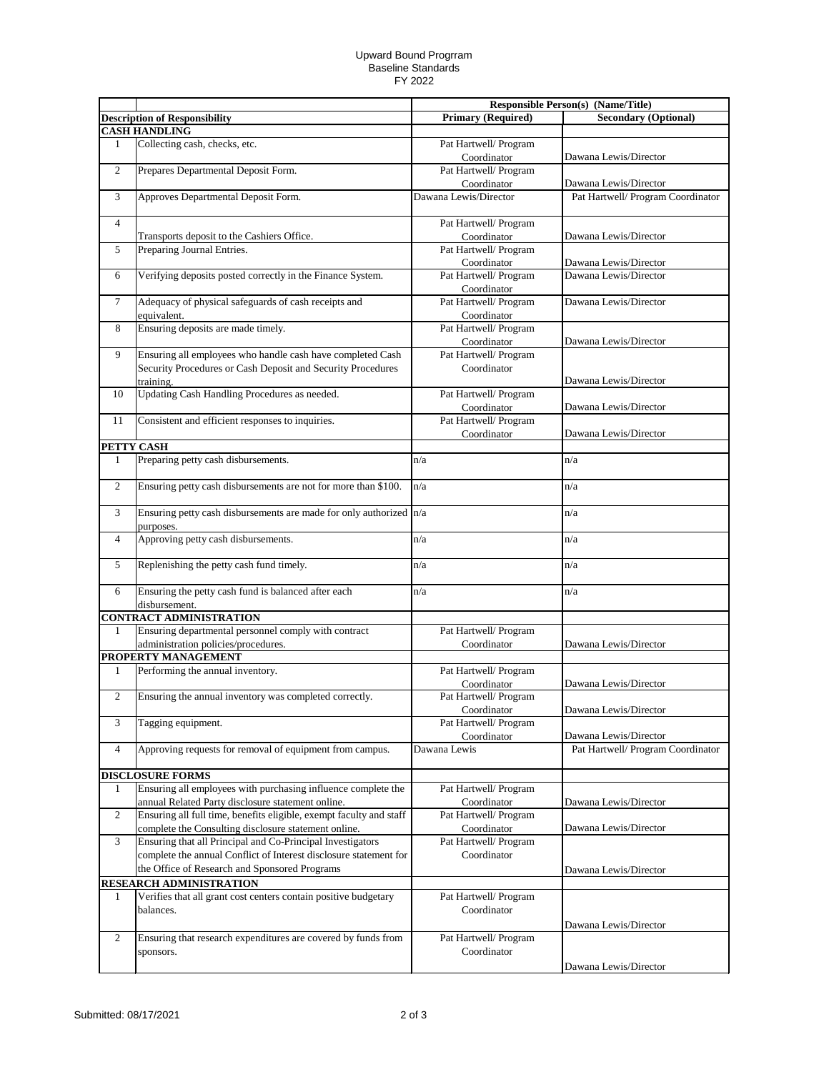## Upward Bound Progrram Baseline Standards FY 2022

|                      |                                                                                   | <b>Responsible Person(s) (Name/Title)</b> |                                   |
|----------------------|-----------------------------------------------------------------------------------|-------------------------------------------|-----------------------------------|
|                      | <b>Description of Responsibility</b>                                              | <b>Primary (Required)</b>                 | <b>Secondary (Optional)</b>       |
| <b>CASH HANDLING</b> |                                                                                   |                                           |                                   |
| 1                    | Collecting cash, checks, etc.                                                     | Pat Hartwell/ Program                     |                                   |
|                      |                                                                                   | Coordinator                               | Dawana Lewis/Director             |
| $\overline{c}$       | Prepares Departmental Deposit Form.                                               | Pat Hartwell/ Program                     |                                   |
|                      |                                                                                   | Coordinator                               | Dawana Lewis/Director             |
| 3                    | Approves Departmental Deposit Form.                                               | Dawana Lewis/Director                     | Pat Hartwell/ Program Coordinator |
| 4                    |                                                                                   | Pat Hartwell/ Program                     |                                   |
|                      | Transports deposit to the Cashiers Office.                                        | Coordinator                               | Dawana Lewis/Director             |
| 5                    | Preparing Journal Entries.                                                        | Pat Hartwell/ Program<br>Coordinator      | Dawana Lewis/Director             |
| 6                    | Verifying deposits posted correctly in the Finance System.                        | Pat Hartwell/ Program                     | Dawana Lewis/Director             |
|                      |                                                                                   | Coordinator                               |                                   |
| $\tau$               | Adequacy of physical safeguards of cash receipts and                              | Pat Hartwell/ Program                     | Dawana Lewis/Director             |
|                      | equivalent.                                                                       | Coordinator                               |                                   |
| 8                    | Ensuring deposits are made timely.                                                | Pat Hartwell/ Program                     |                                   |
|                      |                                                                                   | Coordinator                               | Dawana Lewis/Director             |
| 9                    | Ensuring all employees who handle cash have completed Cash                        | Pat Hartwell/ Program                     |                                   |
|                      | Security Procedures or Cash Deposit and Security Procedures                       | Coordinator                               |                                   |
|                      | training.                                                                         |                                           | Dawana Lewis/Director             |
| 10                   | Updating Cash Handling Procedures as needed.                                      | Pat Hartwell/ Program                     |                                   |
|                      |                                                                                   | Coordinator                               | Dawana Lewis/Director             |
| 11                   | Consistent and efficient responses to inquiries.                                  | Pat Hartwell/ Program                     |                                   |
|                      |                                                                                   | Coordinator                               | Dawana Lewis/Director             |
| PETTY CASH           | Preparing petty cash disbursements.                                               | n/a                                       | n/a                               |
| 1                    |                                                                                   |                                           |                                   |
| $\overline{2}$       | Ensuring petty cash disbursements are not for more than \$100.                    | n/a                                       | n/a                               |
| 3                    | Ensuring petty cash disbursements are made for only authorized $n/a$<br>purposes. |                                           | n/a                               |
| $\overline{4}$       | Approving petty cash disbursements.                                               | n/a                                       | n/a                               |
| 5                    | Replenishing the petty cash fund timely.                                          | n/a                                       | n/a                               |
| 6                    | Ensuring the petty cash fund is balanced after each<br>disbursement.              | n/a                                       | n/a                               |
|                      | <b>CONTRACT ADMINISTRATION</b>                                                    |                                           |                                   |
| 1                    | Ensuring departmental personnel comply with contract                              | Pat Hartwell/ Program                     |                                   |
|                      | administration policies/procedures.                                               | Coordinator                               | Dawana Lewis/Director             |
|                      | PROPERTY MANAGEMENT                                                               |                                           |                                   |
| 1                    | Performing the annual inventory.                                                  | Pat Hartwell/ Program                     |                                   |
|                      |                                                                                   | Coordinator                               | Dawana Lewis/Director             |
| $\overline{2}$       | Ensuring the annual inventory was completed correctly.                            | Pat Hartwell/ Program                     |                                   |
| 3                    | Tagging equipment.                                                                | Coordinator<br>Pat Hartwell/ Program      | Dawana Lewis/Director             |
|                      |                                                                                   | Coordinator                               | Dawana Lewis/Director             |
| 4                    | Approving requests for removal of equipment from campus.                          | Dawana Lewis                              | Pat Hartwell/ Program Coordinator |
|                      | <b>DISCLOSURE FORMS</b>                                                           |                                           |                                   |
| 1                    | Ensuring all employees with purchasing influence complete the                     | Pat Hartwell/ Program                     |                                   |
|                      | annual Related Party disclosure statement online.                                 | Coordinator                               | Dawana Lewis/Director             |
| 2                    | Ensuring all full time, benefits eligible, exempt faculty and staff               | Pat Hartwell/ Program                     |                                   |
|                      | complete the Consulting disclosure statement online.                              | Coordinator                               | Dawana Lewis/Director             |
| 3                    | Ensuring that all Principal and Co-Principal Investigators                        | Pat Hartwell/ Program                     |                                   |
|                      | complete the annual Conflict of Interest disclosure statement for                 | Coordinator                               |                                   |
|                      | the Office of Research and Sponsored Programs                                     |                                           | Dawana Lewis/Director             |
|                      | <b>RESEARCH ADMINISTRATION</b>                                                    |                                           |                                   |
| 1                    | Verifies that all grant cost centers contain positive budgetary                   | Pat Hartwell/ Program                     |                                   |
|                      | balances.                                                                         | Coordinator                               |                                   |
|                      |                                                                                   |                                           | Dawana Lewis/Director             |
| 2                    | Ensuring that research expenditures are covered by funds from                     | Pat Hartwell/ Program                     |                                   |
|                      | sponsors.                                                                         | Coordinator                               |                                   |
|                      |                                                                                   |                                           | Dawana Lewis/Director             |